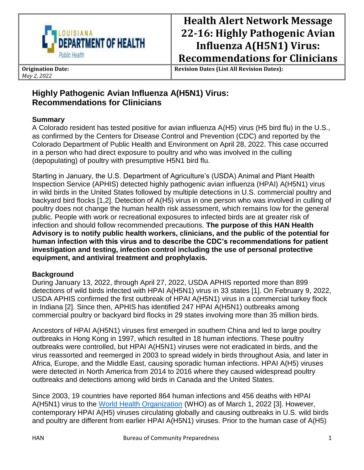

# **Health Alert Network Message 22-16: Highly Pathogenic Avian Influenza A(H5N1) Virus: Recommendations for Clinicians**

**Origination Date:** *May 2, 2022*

**Revision Dates (List All Revision Dates):**

# **Highly Pathogenic Avian Influenza A(H5N1) Virus: Recommendations for Clinicians**

# **Summary**

A Colorado resident has tested positive for avian influenza A(H5) virus (H5 bird flu) in the U.S., as confirmed by the Centers for Disease Control and Prevention (CDC) and reported by the Colorado Department of Public Health and Environment on April 28, 2022. This case occurred in a person who had direct exposure to poultry and who was involved in the culling (depopulating) of poultry with presumptive H5N1 bird flu.

Starting in January, the U.S. Department of Agriculture's (USDA) Animal and Plant Health Inspection Service (APHIS) detected highly pathogenic avian influenza (HPAI) A(H5N1) virus in wild birds in the United States followed by multiple detections in U.S. commercial poultry and backyard bird flocks [1,2]. Detection of A(H5) virus in one person who was involved in culling of poultry does not change the human health risk assessment, which remains low for the general public. People with work or recreational exposures to infected birds are at greater risk of infection and should follow recommended precautions. **The purpose of this HAN Health Advisory is to notify public health workers, clinicians, and the public of the potential for human infection with this virus and to describe the CDC's recommendations for patient investigation and testing, infection control including the use of personal protective equipment, and antiviral treatment and prophylaxis.** 

# **Background**

During January 13, 2022, through April 27, 2022, USDA APHIS reported more than 899 detections of wild birds infected with HPAI A(H5N1) virus in 33 states [1]. On February 9, 2022, USDA APHIS confirmed the first outbreak of HPAI A(H5N1) virus in a commercial turkey flock in Indiana [2]. Since then, APHIS has identified 247 HPAI A(H5N1) outbreaks among commercial poultry or backyard bird flocks in 29 states involving more than 35 million birds.

Ancestors of HPAI A(H5N1) viruses first emerged in southern China and led to large poultry outbreaks in Hong Kong in 1997, which resulted in 18 human infections. These poultry outbreaks were controlled, but HPAI A(H5N1) viruses were not eradicated in birds, and the virus reassorted and reemerged in 2003 to spread widely in birds throughout Asia, and later in Africa, Europe, and the Middle East, causing sporadic human infections. HPAI A(H5) viruses were detected in North America from 2014 to 2016 where they caused widespread poultry outbreaks and detections among wild birds in Canada and the United States.

Since 2003, 19 countries have reported 864 human infections and 456 deaths with HPAI A(H5N1) virus to the [World Health Organization](https://www.who.int/publications/m/item/cumulative-number-of-confirmed-human-cases-for-avian-influenza-a(h5n1)-reported-to-who-2003-2021-15-april-2021) (WHO) as of March 1, 2022 [3]. However, contemporary HPAI A(H5) viruses circulating globally and causing outbreaks in U.S. wild birds and poultry are different from earlier HPAI A(H5N1) viruses. Prior to the human case of A(H5)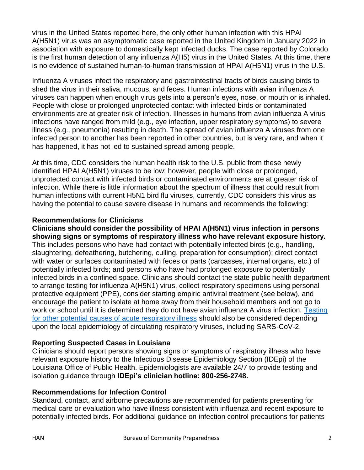virus in the United States reported here, the only other human infection with this HPAI A(H5N1) virus was an asymptomatic case reported in the United Kingdom in January 2022 in association with exposure to domestically kept infected ducks. The case reported by Colorado is the first human detection of any influenza A(H5) virus in the United States. At this time, there is no evidence of sustained human-to-human transmission of HPAI A(H5N1) virus in the U.S.

Influenza A viruses infect the respiratory and gastrointestinal tracts of birds causing birds to shed the virus in their saliva, mucous, and feces. Human infections with avian influenza A viruses can happen when enough virus gets into a person's eyes, nose, or mouth or is inhaled. People with close or prolonged unprotected contact with infected birds or contaminated environments are at greater risk of infection. Illnesses in humans from avian influenza A virus infections have ranged from mild (e.g., eye infection, upper respiratory symptoms) to severe illness (e.g., pneumonia) resulting in death. The spread of avian influenza A viruses from one infected person to another has been reported in other countries, but is very rare, and when it has happened, it has not led to sustained spread among people.

At this time, CDC considers the human health risk to the U.S. public from these newly identified HPAI A(H5N1) viruses to be low; however, people with close or prolonged, unprotected contact with infected birds or contaminated environments are at greater risk of infection. While there is little information about the spectrum of illness that could result from human infections with current H5N1 bird flu viruses, currently, CDC considers this virus as having the potential to cause severe disease in humans and recommends the following:

#### **Recommendations for Clinicians**

**Clinicians should consider the possibility of HPAI A(H5N1) virus infection in persons showing signs or symptoms of respiratory illness who have relevant exposure history.**  This includes persons who have had contact with potentially infected birds (e.g., handling, slaughtering, defeathering, butchering, culling, preparation for consumption); direct contact with water or surfaces contaminated with feces or parts (carcasses, internal organs, etc.) of potentially infected birds; and persons who have had prolonged exposure to potentially infected birds in a confined space. Clinicians should contact the state public health department to arrange testing for influenza A(H5N1) virus, collect respiratory specimens using personal protective equipment (PPE), consider starting empiric antiviral treatment (see below), and encourage the patient to isolate at home away from their household members and not go to work or school until it is determined they do not have avian influenza A virus infection. [Testing](https://www.cdc.gov/flu/avianflu/clinicians-evaluating-patients.htm)  [for other potential causes of acute respiratory illness](https://www.cdc.gov/flu/avianflu/clinicians-evaluating-patients.htm) should also be considered depending upon the local epidemiology of circulating respiratory viruses, including SARS-CoV-2.

# **Reporting Suspected Cases in Louisiana**

Clinicians should report persons showing signs or symptoms of respiratory illness who have relevant exposure history to the Infectious Disease Epidemiology Section (IDEpi) of the Louisiana Office of Public Health. Epidemiologists are available 24/7 to provide testing and isolation guidance through **IDEpi's clinician hotline: 800-256-2748.** 

# **Recommendations for Infection Control**

Standard, contact, and airborne precautions are recommended for patients presenting for medical care or evaluation who have illness consistent with influenza and recent exposure to potentially infected birds. For additional guidance on infection control precautions for patients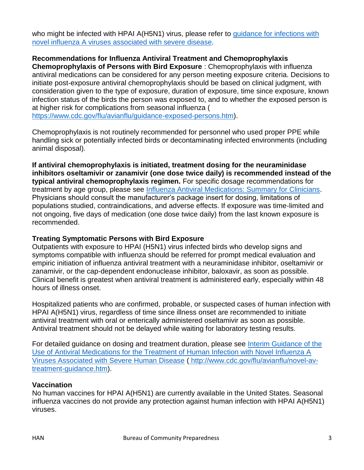who might be infected with HPAI A(H5N1) virus, please refer to guidance for infections with [novel influenza A viruses associated with severe disease.](http://www.cdc.gov/flu/avianflu/novel-flu-infection-control.htm)

# **Recommendations for Influenza Antiviral Treatment and Chemoprophylaxis**

**Chemoprophylaxis of Persons with Bird Exposure** : Chemoprophylaxis with influenza antiviral medications can be considered for any person meeting exposure criteria. Decisions to initiate post-exposure antiviral chemoprophylaxis should be based on clinical judgment, with consideration given to the type of exposure, duration of exposure, time since exposure, known infection status of the birds the person was exposed to, and to whether the exposed person is at higher risk for complications from seasonal influenza (

[https://www.cdc.gov/flu/avianflu/guidance-exposed-persons.htm\)](https://www.cdc.gov/flu/avianflu/guidance-exposed-persons.htm).

Chemoprophylaxis is not routinely recommended for personnel who used proper PPE while handling sick or potentially infected birds or decontaminating infected environments (including animal disposal).

**If antiviral chemoprophylaxis is initiated, treatment dosing for the neuraminidase inhibitors oseltamivir or zanamivir (one dose twice daily) is recommended instead of the typical antiviral chemoprophylaxis regimen.** For specific dosage recommendations for treatment by age group, please see [Influenza Antiviral Medications: Summary for Clinicians.](https://www.cdc.gov/flu/professionals/antivirals/summary-clinicians.htm) Physicians should consult the manufacturer's package insert for dosing, limitations of populations studied, contraindications, and adverse effects. If exposure was time-limited and not ongoing, five days of medication (one dose twice daily) from the last known exposure is recommended.

#### **Treating Symptomatic Persons with Bird Exposure**

Outpatients with exposure to HPAI (H5N1) virus infected birds who develop signs and symptoms compatible with influenza should be referred for prompt medical evaluation and empiric initiation of influenza antiviral treatment with a neuraminidase inhibitor, oseltamivir or zanamivir, or the cap-dependent endonuclease inhibitor, baloxavir, as soon as possible. Clinical benefit is greatest when antiviral treatment is administered early, especially within 48 hours of illness onset.

Hospitalized patients who are confirmed, probable, or suspected cases of human infection with HPAI A(H5N1) virus, regardless of time since illness onset are recommended to initiate antiviral treatment with oral or enterically administered oseltamivir as soon as possible. Antiviral treatment should not be delayed while waiting for laboratory testing results.

For detailed guidance on dosing and treatment duration, please see [Interim Guidance of the](http://www.cdc.gov/flu/avianflu/novel-av-treatment-guidance.htm)  [Use of Antiviral Medications for the Treatment of Human Infection with Novel Influenza A](http://www.cdc.gov/flu/avianflu/novel-av-treatment-guidance.htm)  [Viruses Associated with Severe Human Disease](http://www.cdc.gov/flu/avianflu/novel-av-treatment-guidance.htm) ( [http://www.cdc.gov/flu/avianflu/novel-av](http://www.cdc.gov/flu/avianflu/novel-av-treatment-guidance.htm)[treatment-guidance.htm\)](http://www.cdc.gov/flu/avianflu/novel-av-treatment-guidance.htm).

#### **Vaccination**

No human vaccines for HPAI A(H5N1) are currently available in the United States. Seasonal influenza vaccines do not provide any protection against human infection with HPAI A(H5N1) viruses.